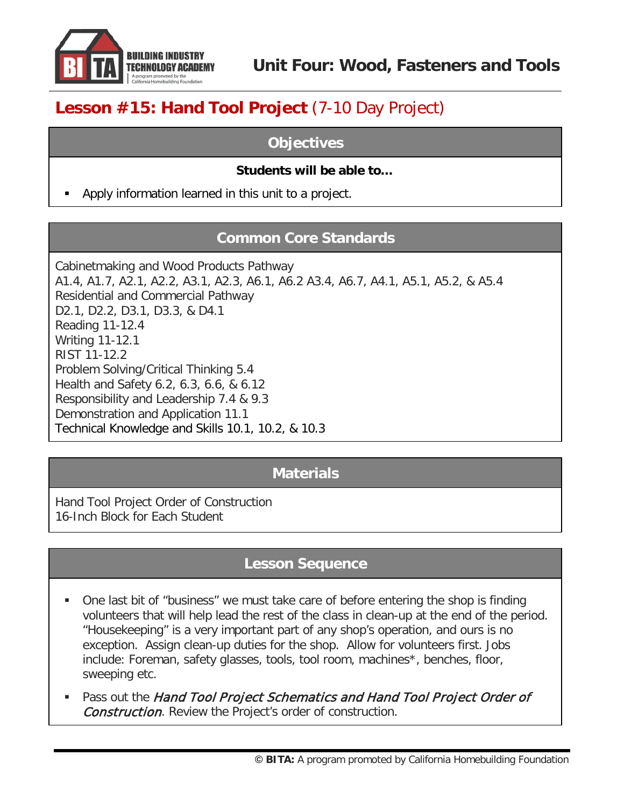

# **Lesson #15: Hand Tool Project** (7-10 Day Project)

# **Objectives**

#### **Students will be able to…**

Apply information learned in this unit to a project.

#### **Common Core Standards**

Cabinetmaking and Wood Products Pathway A1.4, A1.7, A2.1, A2.2, A3.1, A2.3, A6.1, A6.2 A3.4, A6.7, A4.1, A5.1, A5.2, & A5.4 Residential and Commercial Pathway D2.1, D2.2, D3.1, D3.3, & D4.1 Reading 11-12.4 Writing 11-12.1 RIST 11-12.2 Problem Solving/Critical Thinking 5.4 Health and Safety 6.2, 6.3, 6.6, & 6.12 Responsibility and Leadership 7.4 & 9.3 Demonstration and Application 11.1 Technical Knowledge and Skills 10.1, 10.2, & 10.3

# **Materials**

Hand Tool Project Order of Construction 16-Inch Block for Each Student

# **Lesson Sequence**

- One last bit of "business" we must take care of before entering the shop is finding volunteers that will help lead the rest of the class in clean-up at the end of the period. "Housekeeping" is a very important part of any shop's operation, and ours is no exception. Assign clean-up duties for the shop. Allow for volunteers first. Jobs include: Foreman, safety glasses, tools, tool room, machines\*, benches, floor, sweeping etc.
- Pass out the Hand Tool Project Schematics and Hand Tool Project Order of Construction. Review the Project's order of construction.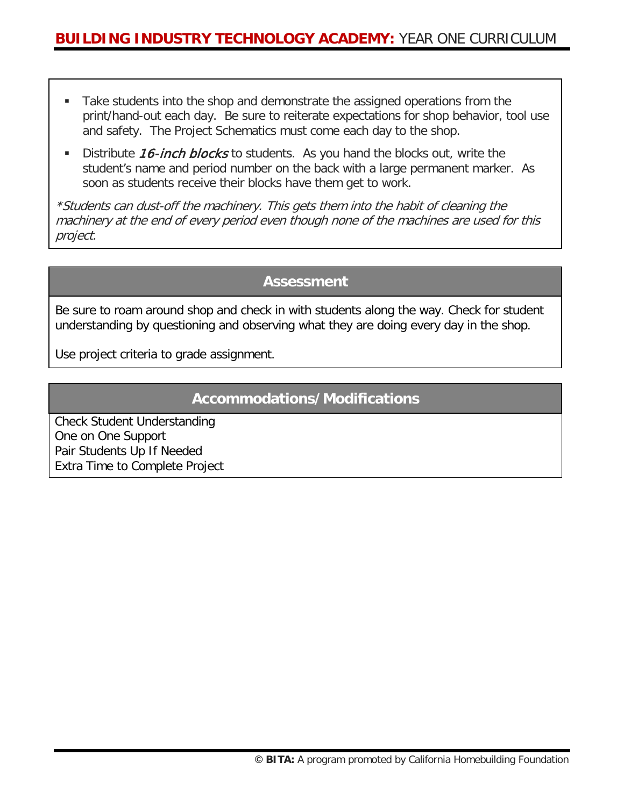- Take students into the shop and demonstrate the assigned operations from the print/hand-out each day. Be sure to reiterate expectations for shop behavior, tool use and safety. The Project Schematics must come each day to the shop.
- Distribute 16-inch blocks to students. As you hand the blocks out, write the student's name and period number on the back with a large permanent marker. As soon as students receive their blocks have them get to work.

\*Students can dust-off the machinery. This gets them into the habit of cleaning the machinery at the end of every period even though none of the machines are used for this project.

#### **Assessment**

Be sure to roam around shop and check in with students along the way. Check for student understanding by questioning and observing what they are doing every day in the shop.

Use project criteria to grade assignment.

# **Accommodations/Modifications**

Check Student Understanding One on One Support Pair Students Up If Needed Extra Time to Complete Project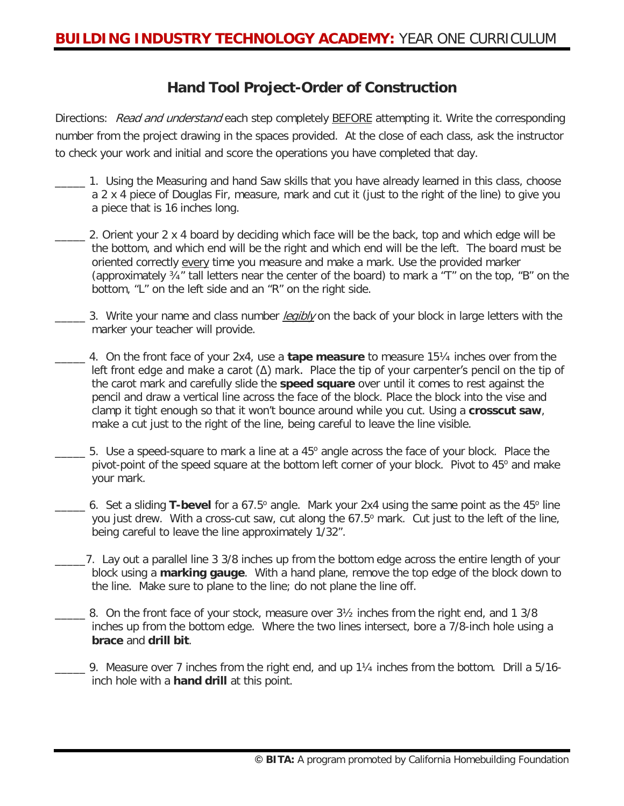# **Hand Tool Project-Order of Construction**

Directions: Read and understand each step completely BEFORE attempting it. Write the corresponding number from the project drawing in the spaces provided. At the close of each class, ask the instructor to check your work and initial and score the operations you have completed that day.

- \_\_\_\_\_ 1. Using the Measuring and hand Saw skills that you have already learned in this class, choose a 2 x 4 piece of Douglas Fir, measure, mark and cut it (just to the right of the line) to give you a piece that is 16 inches long.
- 2. Orient your 2 x 4 board by deciding which face will be the back, top and which edge will be the bottom, and which end will be the right and which end will be the left. The board must be oriented correctly every time you measure and make a mark. Use the provided marker (approximately ¾" tall letters near the center of the board) to mark a "T" on the top, "B" on the bottom, "L" on the left side and an "R" on the right side.
	- 3. Write your name and class number *legibly* on the back of your block in large letters with the marker your teacher will provide.
	- \_\_\_\_\_ 4. On the front face of your 2x4, use a **tape measure** to measure 15¼ inches over from the left front edge and make a carot (∆) mark. Place the tip of your carpenter's pencil on the tip of the carot mark and carefully slide the **speed square** over until it comes to rest against the pencil and draw a vertical line across the face of the block. Place the block into the vise and clamp it tight enough so that it won't bounce around while you cut. Using a **crosscut saw**, make a cut just to the right of the line, being careful to leave the line visible.
- 5. Use a speed-square to mark a line at a  $45^\circ$  angle across the face of your block. Place the pivot-point of the speed square at the bottom left corner of your block. Pivot to 45° and make your mark.
- \_\_\_\_\_ 6. Set a sliding **T-bevel** for a 67.5o angle. Mark your 2x4 using the same point as the 45o line you just drew. With a cross-cut saw, cut along the 67.5° mark. Cut just to the left of the line, being careful to leave the line approximately 1/32".
- \_\_\_\_\_7. Lay out a parallel line 3 3/8 inches up from the bottom edge across the entire length of your block using a **marking gauge**. With a hand plane, remove the top edge of the block down to the line. Make sure to plane to the line; do not plane the line off.
	- 8. On the front face of your stock, measure over  $3\frac{1}{2}$  inches from the right end, and 1 3/8 inches up from the bottom edge. Where the two lines intersect, bore a 7/8-inch hole using a **brace** and **drill bit**.
		- 9. Measure over 7 inches from the right end, and up 1¼ inches from the bottom. Drill a 5/16inch hole with a **hand drill** at this point.